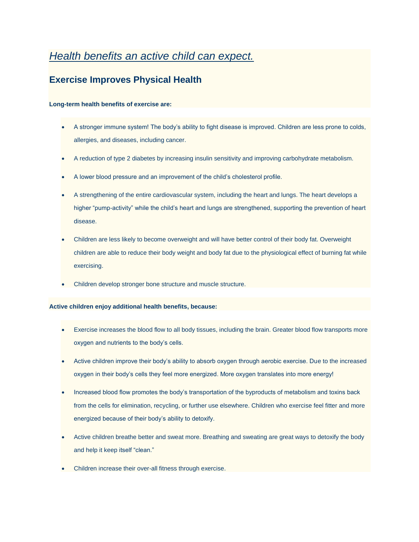# *Health benefits an active child can expect.*

## **Exercise Improves Physical Health**

### **Long-term health benefits of exercise are:**

- A stronger immune system! The body's ability to fight disease is improved. Children are less prone to colds, allergies, and diseases, including cancer.
- A reduction of type 2 diabetes by increasing insulin sensitivity and improving carbohydrate metabolism.
- A lower blood pressure and an improvement of the child's cholesterol profile.
- A strengthening of the entire cardiovascular system, including the heart and lungs. The heart develops a higher "pump-activity" while the child's heart and lungs are strengthened, supporting the prevention of heart disease.
- Children are less likely to become overweight and will have better control of their body fat. Overweight children are able to reduce their body weight and body fat due to the physiological effect of burning fat while exercising.
- Children develop stronger bone structure and muscle structure.

#### **Active children enjoy additional health benefits, because:**

- Exercise increases the blood flow to all body tissues, including the brain. Greater blood flow transports more oxygen and nutrients to the body's cells.
- Active children improve their body's ability to absorb oxygen through aerobic exercise. Due to the increased oxygen in their body's cells they feel more energized. More oxygen translates into more energy!
- Increased blood flow promotes the body's transportation of the byproducts of metabolism and toxins back from the cells for elimination, recycling, or further use elsewhere. Children who exercise feel fitter and more energized because of their body's ability to detoxify.
- Active children breathe better and sweat more. Breathing and sweating are great ways to detoxify the body and help it keep itself "clean."
- Children increase their over-all fitness through exercise.